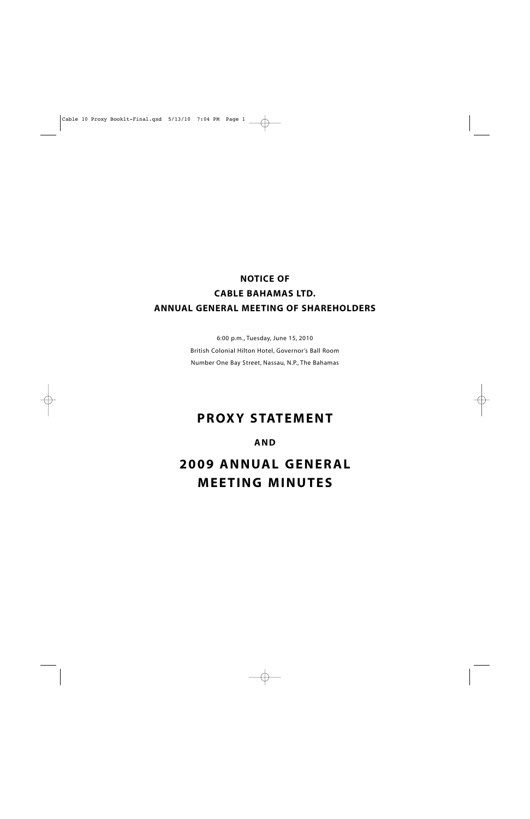# **NOTICE OF CABLE BAHAMAS LTD. ANNUAL GENERAL MEETING OF SHAREHOLDERS**

6:00 p.m., Tuesday, June 15, 2010 British Colonial Hilton Hotel, Governor's Ball Room Number One Bay Street, Nassau, N.P., The Bahamas

# **PROXY STATEMENT**

## **AND**

**2009 ANNUAL GENERAL MEETING MINUTES**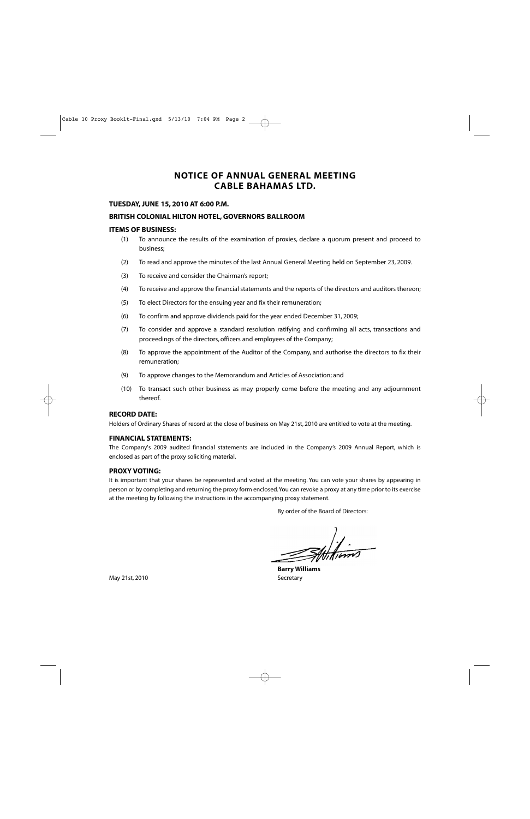## **NOTICE OF ANNUAL GENERAL MEETING CABLE BAHAMAS LTD.**

#### **TUESDAY, JUNE 15, 2010 AT 6:00 P.M.**

#### **BRITISH COLONIAL HILTON HOTEL, GOVERNORS BALLROOM**

#### **ITEMS OF BUSINESS:**

- (1) To announce the results of the examination of proxies, declare a quorum present and proceed to business;
- (2) To read and approve the minutes of the last Annual General Meeting held on September 23, 2009.
- (3) To receive and consider the Chairman's report;
- (4) To receive and approve the financial statements and the reports of the directors and auditors thereon;
- (5) To elect Directors for the ensuing year and fix their remuneration;
- (6) To confirm and approve dividends paid for the year ended December 31, 2009;
- (7) To consider and approve a standard resolution ratifying and confirming all acts, transactions and proceedings of the directors, officers and employees of the Company;
- (8) To approve the appointment of the Auditor of the Company, and authorise the directors to fix their remuneration;
- (9) To approve changes to the Memorandum and Articles of Association; and
- (10) To transact such other business as may properly come before the meeting and any adjournment thereof.

#### **RECORD DATE:**

Holders of Ordinary Shares of record at the close of business on May 21st, 2010 are entitled to vote at the meeting.

#### **FINANCIAL STATEMENTS:**

The Company's 2009 audited financial statements are included in the Company's 2009 Annual Report, which is enclosed as part of the proxy soliciting material.

#### **PROXY VOTING:**

It is important that your shares be represented and voted at the meeting. You can vote your shares by appearing in person or by completing and returning the proxy form enclosed.You can revoke a proxy at any time prior to its exercise at the meeting by following the instructions in the accompanying proxy statement.

By order of the Board of Directors:

 $\frac{1}{2}$ 

**Barry Williams**

May 21st, 2010 Secretary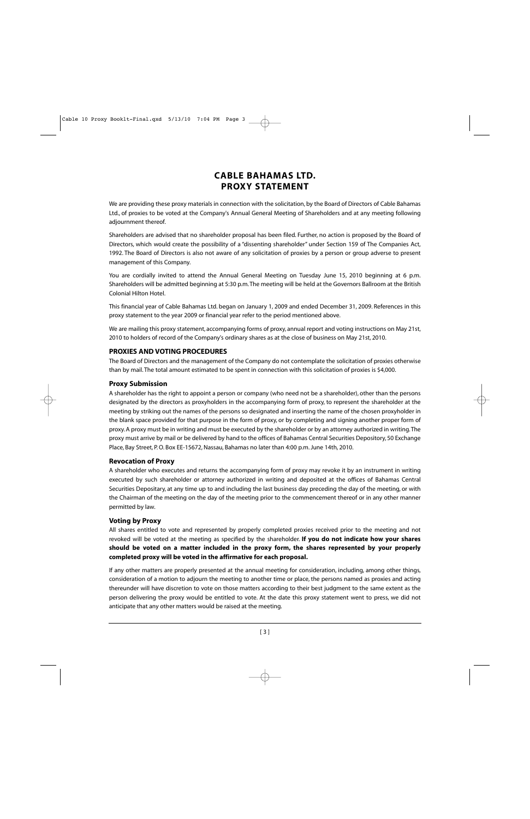## **CABLE BAHAMAS LTD. PROXY STATEMENT**

We are providing these proxy materials in connection with the solicitation, by the Board of Directors of Cable Bahamas Ltd., of proxies to be voted at the Company's Annual General Meeting of Shareholders and at any meeting following adjournment thereof.

Shareholders are advised that no shareholder proposal has been filed. Further, no action is proposed by the Board of Directors, which would create the possibility of a "dissenting shareholder" under Section 159 of The Companies Act, 1992. The Board of Directors is also not aware of any solicitation of proxies by a person or group adverse to present management of this Company.

You are cordially invited to attend the Annual General Meeting on Tuesday June 15, 2010 beginning at 6 p.m. Shareholders will be admitted beginning at 5:30 p.m.The meeting will be held at the Governors Ballroom at the British Colonial Hilton Hotel.

This financial year of Cable Bahamas Ltd. began on January 1, 2009 and ended December 31, 2009. References in this proxy statement to the year 2009 or financial year refer to the period mentioned above.

We are mailing this proxy statement, accompanying forms of proxy, annual report and voting instructions on May 21st, 2010 to holders of record of the Company's ordinary shares as at the close of business on May 21st, 2010.

## **PROXIES AND VOTING PROCEDURES**

The Board of Directors and the management of the Company do not contemplate the solicitation of proxies otherwise than by mail. The total amount estimated to be spent in connection with this solicitation of proxies is \$4,000.

## **Proxy Submission**

A shareholder has the right to appoint a person or company (who need not be a shareholder), other than the persons designated by the directors as proxyholders in the accompanying form of proxy, to represent the shareholder at the meeting by striking out the names of the persons so designated and inserting the name of the chosen proxyholder in the blank space provided for that purpose in the form of proxy, or by completing and signing another proper form of proxy. A proxy must be in writing and must be executed by the shareholder or by an attorney authorized in writing.The proxy must arrive by mail or be delivered by hand to the offices of Bahamas Central Securities Depository, 50 Exchange Place, Bay Street, P. O. Box EE-15672, Nassau, Bahamas no later than 4:00 p.m. June 14th, 2010.

## **Revocation of Proxy**

A shareholder who executes and returns the accompanying form of proxy may revoke it by an instrument in writing executed by such shareholder or attorney authorized in writing and deposited at the offices of Bahamas Central Securities Depositary, at any time up to and including the last business day preceding the day of the meeting, or with the Chairman of the meeting on the day of the meeting prior to the commencement thereof or in any other manner permitted by law.

## **Voting by Proxy**

All shares entitled to vote and represented by properly completed proxies received prior to the meeting and not revoked will be voted at the meeting as specified by the shareholder. **If you do not indicate how your shares should be voted on a matter included in the proxy form, the shares represented by your properly completed proxy will be voted in the affirmative for each proposal.**

If any other matters are properly presented at the annual meeting for consideration, including, among other things, consideration of a motion to adjourn the meeting to another time or place, the persons named as proxies and acting thereunder will have discretion to vote on those matters according to their best judgment to the same extent as the person delivering the proxy would be entitled to vote. At the date this proxy statement went to press, we did not anticipate that any other matters would be raised at the meeting.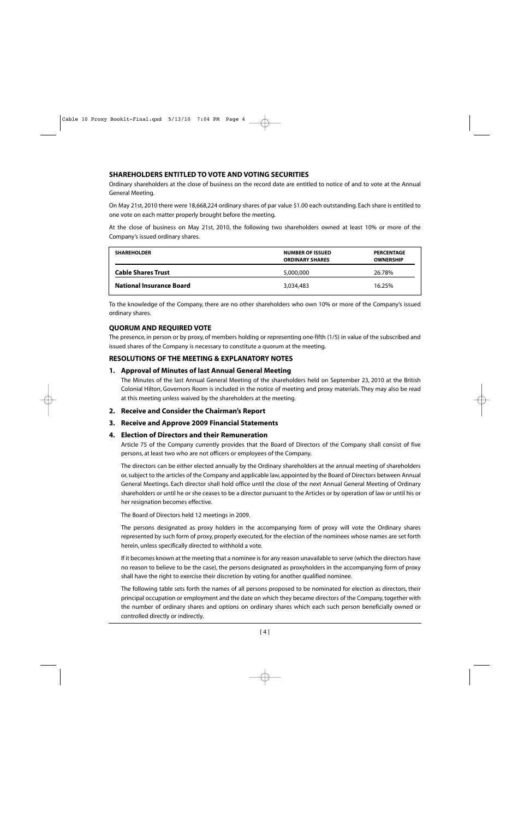## **SHAREHOLDERS ENTITLED TO VOTE AND VOTING SECURITIES**

Ordinary shareholders at the close of business on the record date are entitled to notice of and to vote at the Annual General Meeting.

On May 21st, 2010 there were 18,668,224 ordinary shares of par value \$1.00 each outstanding. Each share is entitled to one vote on each matter properly brought before the meeting.

At the close of business on May 21st, 2010, the following two shareholders owned at least 10% or more of the Company's issued ordinary shares.

| <b>SHAREHOLDER</b>              | <b>NUMBER OF ISSUED</b><br><b>ORDINARY SHARES</b> | <b>PERCENTAGE</b><br><b>OWNERSHIP</b> |
|---------------------------------|---------------------------------------------------|---------------------------------------|
| <b>Cable Shares Trust</b>       | 5,000,000                                         | 26.78%                                |
| <b>National Insurance Board</b> | 3.034.483                                         | 16.25%                                |

To the knowledge of the Company, there are no other shareholders who own 10% or more of the Company's issued ordinary shares.

## **QUORUM AND REQUIRED VOTE**

The presence, in person or by proxy, of members holding or representing one-fifth (1/5) in value of the subscribed and issued shares of the Company is necessary to constitute a quorum at the meeting.

## **RESOLUTIONS OF THE MEETING & EXPLANATORY NOTES**

## **1. Approval of Minutes of last Annual General Meeting**

The Minutes of the last Annual General Meeting of the shareholders held on September 23, 2010 at the British Colonial Hilton, Governors Room is included in the notice of meeting and proxy materials. They may also be read at this meeting unless waived by the shareholders at the meeting.

**2. Receive and Consider the Chairman's Report** 

## **3. Receive and Approve 2009 Financial Statements**

#### **4. Election of Directors and their Remuneration**

Article 75 of the Company currently provides that the Board of Directors of the Company shall consist of five persons, at least two who are not officers or employees of the Company.

The directors can be either elected annually by the Ordinary shareholders at the annual meeting of shareholders or, subject to the articles of the Company and applicable law, appointed by the Board of Directors between Annual General Meetings. Each director shall hold office until the close of the next Annual General Meeting of Ordinary shareholders or until he or she ceases to be a director pursuant to the Articles or by operation of law or until his or her resignation becomes effective.

The Board of Directors held 12 meetings in 2009.

The persons designated as proxy holders in the accompanying form of proxy will vote the Ordinary shares represented by such form of proxy, properly executed, for the election of the nominees whose names are set forth herein, unless specifically directed to withhold a vote.

If it becomes known at the meeting that a nominee is for any reason unavailable to serve (which the directors have no reason to believe to be the case), the persons designated as proxyholders in the accompanying form of proxy shall have the right to exercise their discretion by voting for another qualified nominee.

The following table sets forth the names of all persons proposed to be nominated for election as directors, their principal occupation or employment and the date on which they became directors of the Company, together with the number of ordinary shares and options on ordinary shares which each such person beneficially owned or controlled directly or indirectly.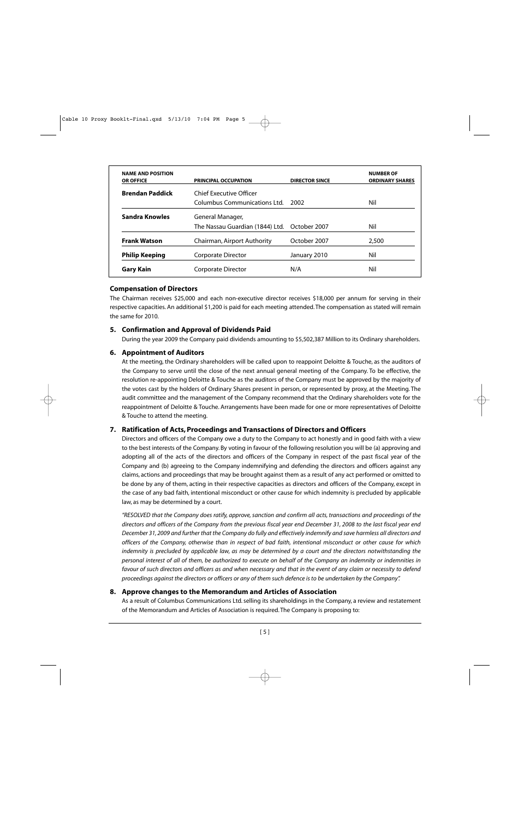| <b>NAME AND POSITION</b><br><b>OR OFFICE</b> | <b>PRINCIPAL OCCUPATION</b>                  | <b>DIRECTOR SINCE</b> | <b>NUMBER OF</b><br><b>ORDINARY SHARES</b> |
|----------------------------------------------|----------------------------------------------|-----------------------|--------------------------------------------|
| <b>Brendan Paddick</b>                       | Chief Executive Officer                      |                       |                                            |
|                                              | Columbus Communications Ltd.                 | 2002                  | Nil                                        |
| Sandra Knowles                               | General Manager,                             |                       |                                            |
|                                              | The Nassau Guardian (1844) Ltd. October 2007 |                       | Nil                                        |
| <b>Frank Watson</b>                          | Chairman, Airport Authority                  | October 2007          | 2,500                                      |
| <b>Philip Keeping</b>                        | Corporate Director                           | January 2010          | Nil                                        |
| Gary Kain                                    | Corporate Director                           | N/A                   | Nil                                        |

## **Compensation of Directors**

The Chairman receives \$25,000 and each non-executive director receives \$18,000 per annum for serving in their respective capacities. An additional \$1,200 is paid for each meeting attended. The compensation as stated will remain the same for 2010.

## **5. Confirmation and Approval of Dividends Paid**

During the year 2009 the Company paid dividends amounting to \$5,502,387 Million to its Ordinary shareholders.

## **6. Appointment of Auditors**

At the meeting, the Ordinary shareholders will be called upon to reappoint Deloitte & Touche, as the auditors of the Company to serve until the close of the next annual general meeting of the Company. To be effective, the resolution re-appointing Deloitte & Touche as the auditors of the Company must be approved by the majority of the votes cast by the holders of Ordinary Shares present in person, or represented by proxy, at the Meeting. The audit committee and the management of the Company recommend that the Ordinary shareholders vote for the reappointment of Deloitte & Touche. Arrangements have been made for one or more representatives of Deloitte & Touche to attend the meeting.

## **7. Ratification of Acts, Proceedings and Transactions of Directors and Officers**

Directors and officers of the Company owe a duty to the Company to act honestly and in good faith with a view to the best interests of the Company. By voting in favour of the following resolution you will be (a) approving and adopting all of the acts of the directors and officers of the Company in respect of the past fiscal year of the Company and (b) agreeing to the Company indemnifying and defending the directors and officers against any claims, actions and proceedings that may be brought against them as a result of any act performed or omitted to be done by any of them, acting in their respective capacities as directors and officers of the Company, except in the case of any bad faith, intentional misconduct or other cause for which indemnity is precluded by applicable law, as may be determined by a court.

*"RESOLVED that the Company does ratify, approve, sanction and confirm all acts, transactions and proceedings of the directors and officers of the Company from the previous fiscal year end December 31, 2008 to the last fiscal year end December 31, 2009 and further that the Company do fully and effectively indemnify and save harmless all directors and officers of the Company, otherwise than in respect of bad faith, intentional misconduct or other cause for which indemnity is precluded by applicable law, as may be determined by a court and the directors notwithstanding the personal interest of all of them, be authorized to execute on behalf of the Company an indemnity or indemnities in favour of such directors and officers as and when necessary and that in the event of any claim or necessity to defend proceedings against the directors or officers or any of them such defence is to be undertaken by the Company".*

## **8. Approve changes to the Memorandum and Articles of Association**

As a result of Columbus Communications Ltd. selling its shareholdings in the Company, a review and restatement of the Memorandum and Articles of Association is required. The Company is proposing to: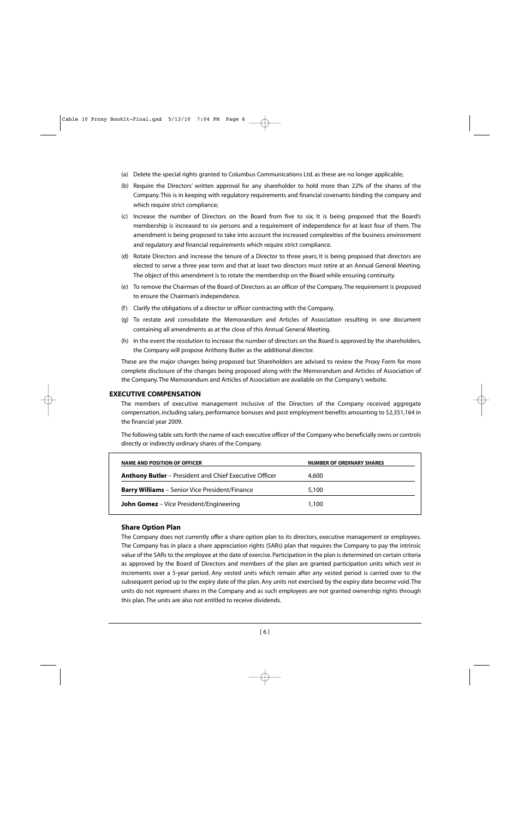- (a) Delete the special rights granted to Columbus Communications Ltd. as these are no longer applicable;
- (b) Require the Directors' written approval for any shareholder to hold more than 22% of the shares of the Company. This is in keeping with regulatory requirements and financial covenants binding the company and which require strict compliance;
- (c) Increase the number of Directors on the Board from five to six; It is being proposed that the Board's membership is increased to six persons and a requirement of independence for at least four of them. The amendment is being proposed to take into account the increased complexities of the business environment and regulatory and financial requirements which require strict compliance.
- (d) Rotate Directors and increase the tenure of a Director to three years; It is being proposed that directors are elected to serve a three year term and that at least two directors must retire at an Annual General Meeting. The object of this amendment is to rotate the membership on the Board while ensuring continuity.
- (e) To remove the Chairman of the Board of Directors as an officer of the Company. The requirement is proposed to ensure the Chairman's independence.
- (f ) Clarify the obligations of a director or officer contracting with the Company.
- (g) To restate and consolidate the Memorandum and Articles of Association resulting in one document containing all amendments as at the close of this Annual General Meeting.
- (h) In the event the resolution to increase the number of directors on the Board is approved by the shareholders, the Company will propose Anthony Butler as the additional director.

These are the major changes being proposed but Shareholders are advised to review the Proxy Form for more complete disclosure of the changes being proposed along with the Memorandum and Articles of Association of the Company. The Memorandum and Articles of Association are available on the Company's website.

## **EXECUTIVE COMPENSATION**

The members of executive management inclusive of the Directors of the Company received aggregate compensation, including salary, performance bonuses and post employment benefits amounting to \$2,351,164 in the financial year 2009.

The following table sets forth the name of each executive officer of the Company who beneficially owns or controls directly or indirectly ordinary shares of the Company.

| <b>NAME AND POSITION OF OFFICER</b>                           | <b>NUMBER OF ORDINARY SHARES</b> |
|---------------------------------------------------------------|----------------------------------|
| <b>Anthony Butler</b> – President and Chief Executive Officer | 4,600                            |
| <b>Barry Williams</b> - Senior Vice President/Finance         | 5,100                            |
| <b>John Gomez</b> – Vice President/Engineering                | 1.100                            |

## **Share Option Plan**

The Company does not currently offer a share option plan to its directors, executive management or employees. The Company has in place a share appreciation rights (SARs) plan that requires the Company to pay the intrinsic value of the SARs to the employee at the date of exercise. Participation in the plan is determined on certain criteria as approved by the Board of Directors and members of the plan are granted participation units which vest in increments over a 5-year period. Any vested units which remain after any vested period is carried over to the subsequent period up to the expiry date of the plan. Any units not exercised by the expiry date become void. The units do not represent shares in the Company and as such employees are not granted ownership rights through this plan. The units are also not entitled to receive dividends.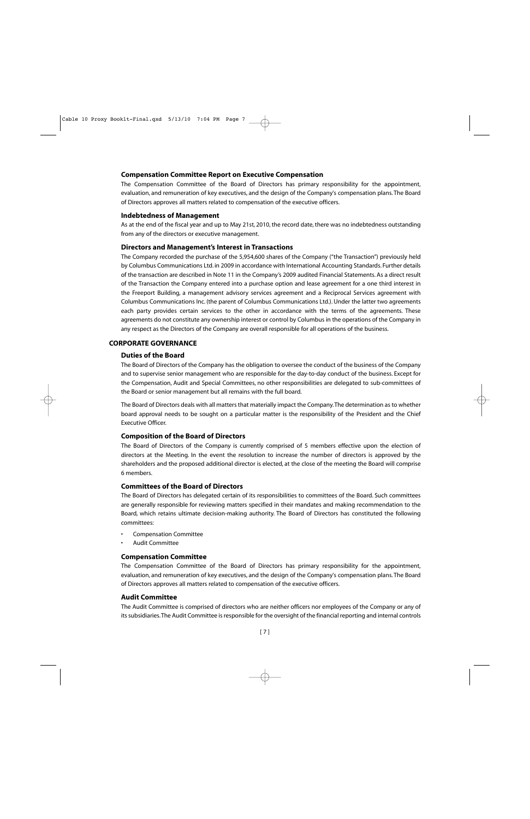#### **Compensation Committee Report on Executive Compensation**

The Compensation Committee of the Board of Directors has primary responsibility for the appointment, evaluation, and remuneration of key executives, and the design of the Company's compensation plans. The Board of Directors approves all matters related to compensation of the executive officers.

#### **Indebtedness of Management**

As at the end of the fiscal year and up to May 21st, 2010, the record date, there was no indebtedness outstanding from any of the directors or executive management.

#### **Directors and Management's Interest in Transactions**

The Company recorded the purchase of the 5,954,600 shares of the Company ("the Transaction") previously held by Columbus Communications Ltd. in 2009 in accordance with International Accounting Standards. Further details of the transaction are described in Note 11 in the Company's 2009 audited Financial Statements. As a direct result of the Transaction the Company entered into a purchase option and lease agreement for a one third interest in the Freeport Building, a management advisory services agreement and a Reciprocal Services agreement with Columbus Communications Inc. (the parent of Columbus Communications Ltd.). Under the latter two agreements each party provides certain services to the other in accordance with the terms of the agreements. These agreements do not constitute any ownership interest or control by Columbus in the operations of the Company in any respect as the Directors of the Company are overall responsible for all operations of the business.

#### **CORPORATE GOVERNANCE**

#### **Duties of the Board**

The Board of Directors of the Company has the obligation to oversee the conduct of the business of the Company and to supervise senior management who are responsible for the day-to-day conduct of the business. Except for the Compensation, Audit and Special Committees, no other responsibilities are delegated to sub-committees of the Board or senior management but all remains with the full board.

The Board of Directors deals with all matters that materially impact the Company.The determination as to whether board approval needs to be sought on a particular matter is the responsibility of the President and the Chief Executive Officer.

#### **Composition of the Board of Directors**

The Board of Directors of the Company is currently comprised of 5 members effective upon the election of directors at the Meeting. In the event the resolution to increase the number of directors is approved by the shareholders and the proposed additional director is elected, at the close of the meeting the Board will comprise 6 members.

#### **Committees of the Board of Directors**

The Board of Directors has delegated certain of its responsibilities to committees of the Board. Such committees are generally responsible for reviewing matters specified in their mandates and making recommendation to the Board, which retains ultimate decision-making authority. The Board of Directors has constituted the following committees:

- Compensation Committee
- Audit Committee

#### **Compensation Committee**

The Compensation Committee of the Board of Directors has primary responsibility for the appointment, evaluation, and remuneration of key executives, and the design of the Company's compensation plans. The Board of Directors approves all matters related to compensation of the executive officers.

#### **Audit Committee**

The Audit Committee is comprised of directors who are neither officers nor employees of the Company or any of its subsidiaries.The Audit Committee is responsible for the oversight of the financial reporting and internal controls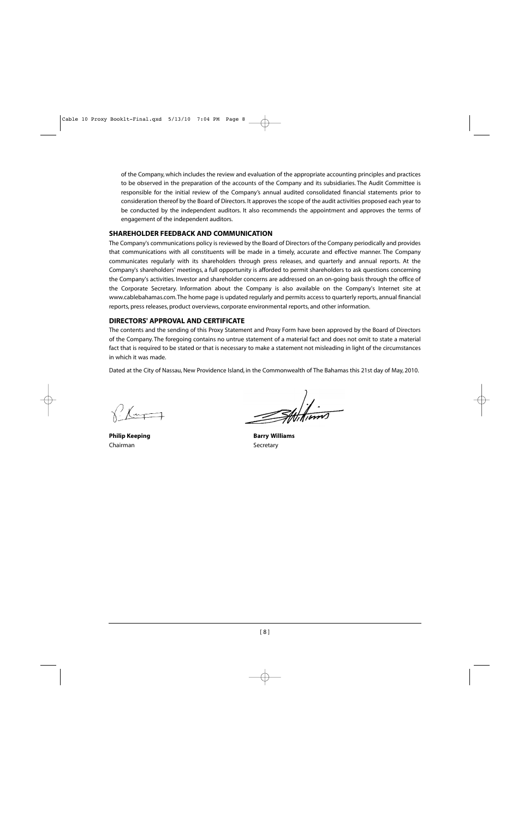of the Company, which includes the review and evaluation of the appropriate accounting principles and practices to be observed in the preparation of the accounts of the Company and its subsidiaries. The Audit Committee is responsible for the initial review of the Company's annual audited consolidated financial statements prior to consideration thereof by the Board of Directors. It approves the scope of the audit activities proposed each year to be conducted by the independent auditors. It also recommends the appointment and approves the terms of engagement of the independent auditors.

## **SHAREHOLDER FEEDBACK AND COMMUNICATION**

The Company's communications policy is reviewed by the Board of Directors of the Company periodically and provides that communications with all constituents will be made in a timely, accurate and effective manner. The Company communicates regularly with its shareholders through press releases, and quarterly and annual reports. At the Company's shareholders' meetings, a full opportunity is afforded to permit shareholders to ask questions concerning the Company's activities. Investor and shareholder concerns are addressed on an on-going basis through the office of the Corporate Secretary. Information about the Company is also available on the Company's Internet site at www.cablebahamas.com.The home page is updated regularly and permits access to quarterly reports, annual financial reports, press releases, product overviews, corporate environmental reports, and other information.

## **DIRECTORS' APPROVAL AND CERTIFICATE**

The contents and the sending of this Proxy Statement and Proxy Form have been approved by the Board of Directors of the Company. The foregoing contains no untrue statement of a material fact and does not omit to state a material fact that is required to be stated or that is necessary to make a statement not misleading in light of the circumstances in which it was made.

Dated at the City of Nassau, New Providence Island, in the Commonwealth of The Bahamas this 21st day of May, 2010.

Chairman Secretary

**Philip Keeping Community Community Barry Williams**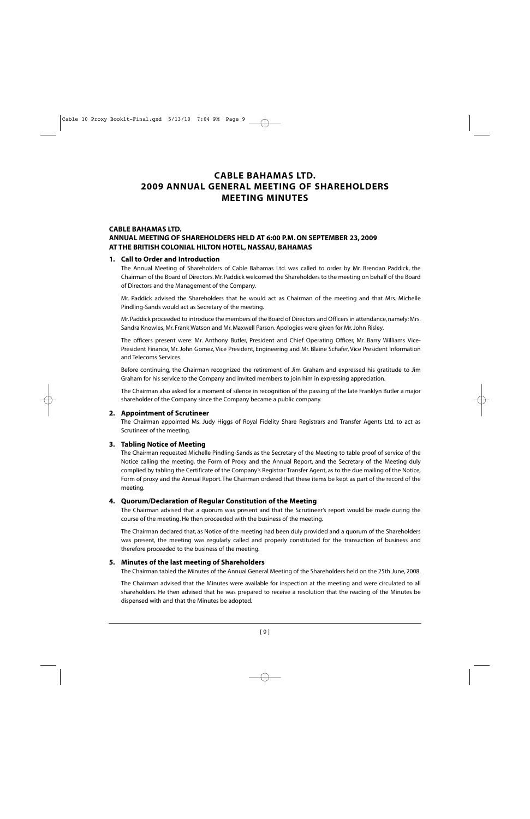## **CABLE BAHAMAS LTD. 2009 ANNUAL GENERAL MEETING OF SHAREHOLDERS MEETING MINUTES**

## **CABLE BAHAMAS LTD. ANNUAL MEETING OF SHAREHOLDERS HELD AT 6:00 P.M. ON SEPTEMBER 23, 2009 AT THE BRITISH COLONIAL HILTON HOTEL, NASSAU, BAHAMAS**

## **1. Call to Order and Introduction**

The Annual Meeting of Shareholders of Cable Bahamas Ltd. was called to order by Mr. Brendan Paddick, the Chairman of the Board of Directors. Mr. Paddick welcomed the Shareholders to the meeting on behalf of the Board of Directors and the Management of the Company.

Mr. Paddick advised the Shareholders that he would act as Chairman of the meeting and that Mrs. Michelle Pindling-Sands would act as Secretary of the meeting.

Mr. Paddick proceeded to introduce the members of the Board of Directors and Officers in attendance, namely: Mrs. Sandra Knowles, Mr. Frank Watson and Mr. Maxwell Parson. Apologies were given for Mr. John Risley.

The officers present were: Mr. Anthony Butler, President and Chief Operating Officer, Mr. Barry Williams Vice-President Finance, Mr. John Gomez, Vice President, Engineering and Mr. Blaine Schafer, Vice President Information and Telecoms Services.

Before continuing, the Chairman recognized the retirement of Jim Graham and expressed his gratitude to Jim Graham for his service to the Company and invited members to join him in expressing appreciation.

The Chairman also asked for a moment of silence in recognition of the passing of the late Franklyn Butler a major shareholder of the Company since the Company became a public company.

## **2. Appointment of Scrutineer**

The Chairman appointed Ms. Judy Higgs of Royal Fidelity Share Registrars and Transfer Agents Ltd. to act as Scrutineer of the meeting.

## **3. Tabling Notice of Meeting**

The Chairman requested Michelle Pindling-Sands as the Secretary of the Meeting to table proof of service of the Notice calling the meeting, the Form of Proxy and the Annual Report, and the Secretary of the Meeting duly complied by tabling the Certificate of the Company's Registrar Transfer Agent, as to the due mailing of the Notice, Form of proxy and the Annual Report. The Chairman ordered that these items be kept as part of the record of the meeting.

## **4. Quorum/Declaration of Regular Constitution of the Meeting**

The Chairman advised that a quorum was present and that the Scrutineer's report would be made during the course of the meeting. He then proceeded with the business of the meeting.

The Chairman declared that, as Notice of the meeting had been duly provided and a quorum of the Shareholders was present, the meeting was regularly called and properly constituted for the transaction of business and therefore proceeded to the business of the meeting.

## **5. Minutes of the last meeting of Shareholders**

The Chairman tabled the Minutes of the Annual General Meeting of the Shareholders held on the 25th June, 2008.

The Chairman advised that the Minutes were available for inspection at the meeting and were circulated to all shareholders. He then advised that he was prepared to receive a resolution that the reading of the Minutes be dispensed with and that the Minutes be adopted.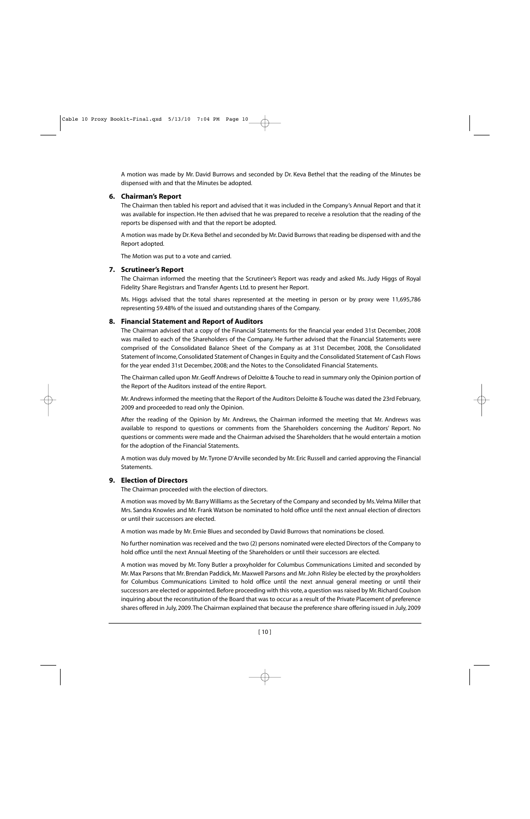A motion was made by Mr. David Burrows and seconded by Dr. Keva Bethel that the reading of the Minutes be dispensed with and that the Minutes be adopted.

## **6. Chairman's Report**

The Chairman then tabled his report and advised that it was included in the Company's Annual Report and that it was available for inspection. He then advised that he was prepared to receive a resolution that the reading of the reports be dispensed with and that the report be adopted.

A motion was made by Dr. Keva Bethel and seconded by Mr. David Burrows that reading be dispensed with and the Report adopted.

The Motion was put to a vote and carried.

## **7. Scrutineer's Report**

The Chairman informed the meeting that the Scrutineer's Report was ready and asked Ms. Judy Higgs of Royal Fidelity Share Registrars and Transfer Agents Ltd. to present her Report.

Ms. Higgs advised that the total shares represented at the meeting in person or by proxy were 11,695,786 representing 59.48% of the issued and outstanding shares of the Company.

## **8. Financial Statement and Report of Auditors**

The Chairman advised that a copy of the Financial Statements for the financial year ended 31st December, 2008 was mailed to each of the Shareholders of the Company. He further advised that the Financial Statements were comprised of the Consolidated Balance Sheet of the Company as at 31st December, 2008, the Consolidated Statement of Income, Consolidated Statement of Changes in Equity and the Consolidated Statement of Cash Flows for the year ended 31st December, 2008; and the Notes to the Consolidated Financial Statements.

The Chairman called upon Mr. Geoff Andrews of Deloitte & Touche to read in summary only the Opinion portion of the Report of the Auditors instead of the entire Report.

Mr. Andrews informed the meeting that the Report of the Auditors Deloitte & Touche was dated the 23rd February, 2009 and proceeded to read only the Opinion.

After the reading of the Opinion by Mr. Andrews, the Chairman informed the meeting that Mr. Andrews was available to respond to questions or comments from the Shareholders concerning the Auditors' Report. No questions or comments were made and the Chairman advised the Shareholders that he would entertain a motion for the adoption of the Financial Statements.

A motion was duly moved by Mr. Tyrone D'Arville seconded by Mr. Eric Russell and carried approving the Financial Statements.

## **9. Election of Directors**

The Chairman proceeded with the election of directors.

A motion was moved by Mr. Barry Williams as the Secretary of the Company and seconded by Ms.Velma Miller that Mrs. Sandra Knowles and Mr. Frank Watson be nominated to hold office until the next annual election of directors or until their successors are elected.

A motion was made by Mr. Ernie Blues and seconded by David Burrows that nominations be closed.

No further nomination was received and the two (2) persons nominated were elected Directors of the Company to hold office until the next Annual Meeting of the Shareholders or until their successors are elected.

A motion was moved by Mr. Tony Butler a proxyholder for Columbus Communications Limited and seconded by Mr. Max Parsons that Mr. Brendan Paddick, Mr. Maxwell Parsons and Mr. John Risley be elected by the proxyholders for Columbus Communications Limited to hold office until the next annual general meeting or until their successors are elected or appointed. Before proceeding with this vote, a question was raised by Mr. Richard Coulson inquiring about the reconstitution of the Board that was to occur as a result of the Private Placement of preference shares offered in July, 2009.The Chairman explained that because the preference share offering issued in July, 2009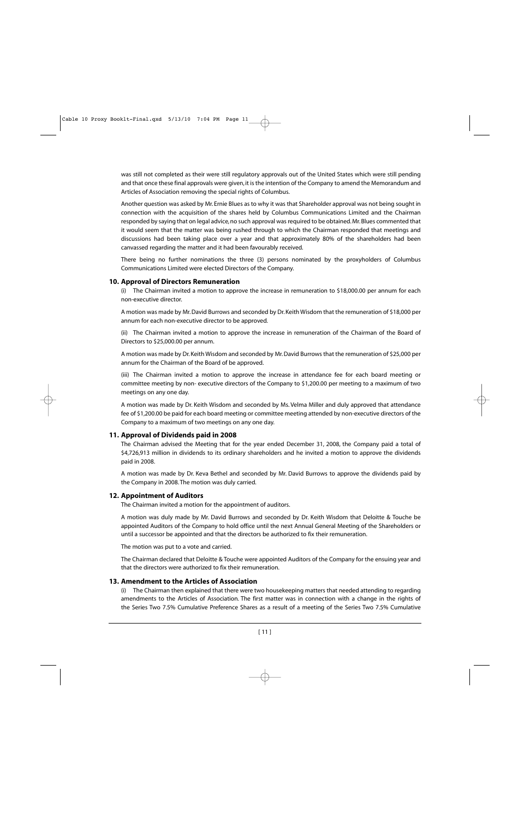was still not completed as their were still regulatory approvals out of the United States which were still pending and that once these final approvals were given, it is the intention of the Company to amend the Memorandum and Articles of Association removing the special rights of Columbus.

Another question was asked by Mr. Ernie Blues as to why it was that Shareholder approval was not being sought in connection with the acquisition of the shares held by Columbus Communications Limited and the Chairman responded by saying that on legal advice, no such approval was required to be obtained. Mr. Blues commented that it would seem that the matter was being rushed through to which the Chairman responded that meetings and discussions had been taking place over a year and that approximately 80% of the shareholders had been canvassed regarding the matter and it had been favourably received.

There being no further nominations the three (3) persons nominated by the proxyholders of Columbus Communications Limited were elected Directors of the Company.

## **10. Approval of Directors Remuneration**

(i) The Chairman invited a motion to approve the increase in remuneration to \$18,000.00 per annum for each non-executive director.

A motion was made by Mr. David Burrows and seconded by Dr. Keith Wisdom that the remuneration of \$18,000 per annum for each non-executive director to be approved.

(ii) The Chairman invited a motion to approve the increase in remuneration of the Chairman of the Board of Directors to \$25,000.00 per annum.

A motion was made by Dr. Keith Wisdom and seconded by Mr. David Burrows that the remuneration of \$25,000 per annum for the Chairman of the Board of be approved.

(iii) The Chairman invited a motion to approve the increase in attendance fee for each board meeting or committee meeting by non- executive directors of the Company to \$1,200.00 per meeting to a maximum of two meetings on any one day.

A motion was made by Dr. Keith Wisdom and seconded by Ms. Velma Miller and duly approved that attendance fee of \$1,200.00 be paid for each board meeting or committee meeting attended by non-executive directors of the Company to a maximum of two meetings on any one day.

## **11. Approval of Dividends paid in 2008**

The Chairman advised the Meeting that for the year ended December 31, 2008, the Company paid a total of \$4,726,913 million in dividends to its ordinary shareholders and he invited a motion to approve the dividends paid in 2008.

A motion was made by Dr. Keva Bethel and seconded by Mr. David Burrows to approve the dividends paid by the Company in 2008. The motion was duly carried.

## **12. Appointment of Auditors**

The Chairman invited a motion for the appointment of auditors.

A motion was duly made by Mr. David Burrows and seconded by Dr. Keith Wisdom that Deloitte & Touche be appointed Auditors of the Company to hold office until the next Annual General Meeting of the Shareholders or until a successor be appointed and that the directors be authorized to fix their remuneration.

The motion was put to a vote and carried.

The Chairman declared that Deloitte & Touche were appointed Auditors of the Company for the ensuing year and that the directors were authorized to fix their remuneration.

## **13. Amendment to the Articles of Association**

(i) The Chairman then explained that there were two housekeeping matters that needed attending to regarding amendments to the Articles of Association. The first matter was in connection with a change in the rights of the Series Two 7.5% Cumulative Preference Shares as a result of a meeting of the Series Two 7.5% Cumulative